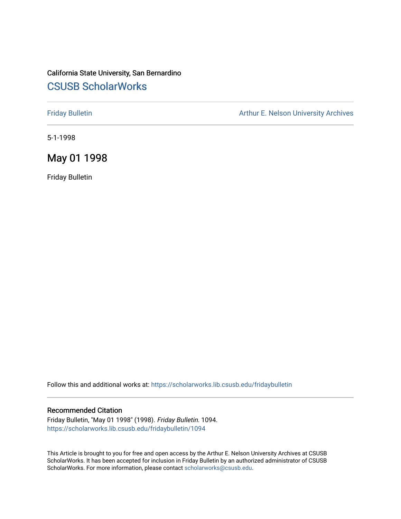## California State University, San Bernardino [CSUSB ScholarWorks](https://scholarworks.lib.csusb.edu/)

[Friday Bulletin](https://scholarworks.lib.csusb.edu/fridaybulletin) **Arthur E. Nelson University Archives** Arthur E. Nelson University Archives

5-1-1998

## May 01 1998

Friday Bulletin

Follow this and additional works at: [https://scholarworks.lib.csusb.edu/fridaybulletin](https://scholarworks.lib.csusb.edu/fridaybulletin?utm_source=scholarworks.lib.csusb.edu%2Ffridaybulletin%2F1094&utm_medium=PDF&utm_campaign=PDFCoverPages)

#### Recommended Citation

Friday Bulletin, "May 01 1998" (1998). Friday Bulletin. 1094. [https://scholarworks.lib.csusb.edu/fridaybulletin/1094](https://scholarworks.lib.csusb.edu/fridaybulletin/1094?utm_source=scholarworks.lib.csusb.edu%2Ffridaybulletin%2F1094&utm_medium=PDF&utm_campaign=PDFCoverPages) 

This Article is brought to you for free and open access by the Arthur E. Nelson University Archives at CSUSB ScholarWorks. It has been accepted for inclusion in Friday Bulletin by an authorized administrator of CSUSB ScholarWorks. For more information, please contact [scholarworks@csusb.edu.](mailto:scholarworks@csusb.edu)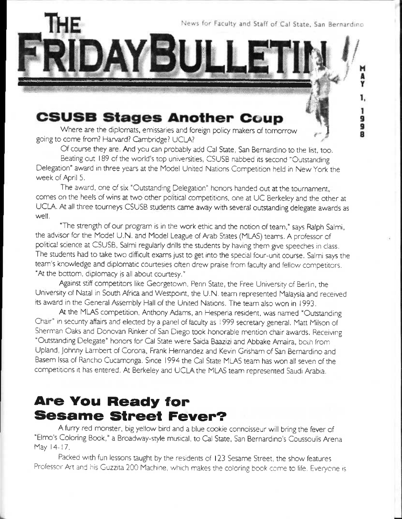News for Faculty and Staff of Cal State, San Bernardino

1. 1

9<br>9 å

LLE

# **CSUSB Stages Another Coup**

Where are the diplomats, emissaries and foreign policy makers of tomorrow going to come from? Harvard? Cambridge? UCLA? '

YBII

Of course they are. And you can probably add Cal State, San Bernardino to the list, too. Beating out 189 of the world's top universities, CSUSB nabbed its second "Outstanding

Delegation" award in three years at the Model United Nations Competition held in New York the week of April 5.

The award, one of six "Outstanding Delegation" honors handed out at the tournament, comes on the heels of wins at two other political competitions, one at UC Berkeley and the other at UCLA. At all three tourneys CSUSB students came away with several outstanding delegate awards as well,

"The strength of our program is in the work ethic and the notion of team," says Ralph Salmi, the advisor for the Model U.N. and Model League of Arab States (MLAS) teams. A professor of political science at CSUSB, Salmi regularly drills the students by having them give speeches in class. The students had to take two difficult exams just to get into the special four-unit course. Salmi says the team's knowledge and diplomatic courtesies often drew praise from faculty and fellow competitors. "At the bottom, diplomacy is all about courtesy."

Against stiff competitors like Georgetown, Penn State, the Free University of Berlin, the University of Natal in South Africa and Westpoint, the U.N. team represented Malaysia and received its award in the General Assembly Hall of the United Nations. The team also won in 1993.

At the MLAS competition, Anthony Adams, an Hesperia resident, was named "Outstanding Chair" in security affairs and elected by a panel of faculty as 1999 secretary general. Matt Milson of Sherman Oaks and Donovan Rinker of San Diego took honorable mention chair awards, Receiving "Outstanding Delegate" honors for Cal State were Saida Baazizi and Abbake Amaira, both from Upland, johnny Lambert of Corona. Frank Hernandez and Kevin Grisham of San Bernardino and Basem Issa of Rancho Cucamonga. Since 1994 the Cal State MLAS team has won all seven of the competitions it has entered. At Berkeley and UCLA the MLAS team represented Saudi Arabia,

# **Are You Ready for Sesame Street Fever?**

A furry red monster, big yellow bird and a blue cookie connoisseur will bring the fever of "Elmo's Coloring Book," a Broadway-style musical, to Cal State, San Bernardino's Coussoulis Arena May 14-17.

Packed with fun lessons taught by the residents of 123 Sesame Street, the show features Professor Art and his Guzzita 200 Machine, which makes the coloring book come to life. Everyone is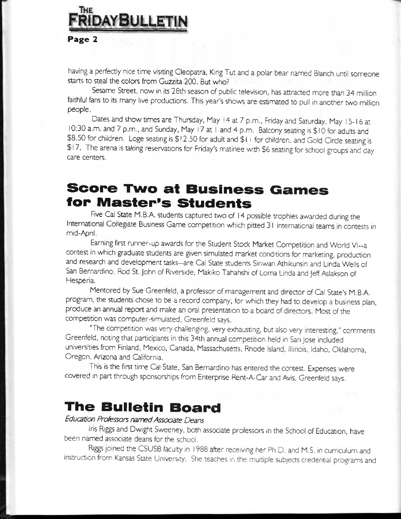

having a perfectly nice time visiting Cleopatra, King Tut and a polar bear named Blanch until someone starts to steal the colors from Guzzita 200. But who?

Sesame Street, now in its 28th season of public television, has attracted more than 34 million faithful fans to its many live productions. This year's shows are estimated to pull in another two million people.

Dates and show times are Thursday, May 14 at 7 p.m., Friday and Saturday, May 15-16 at 10:30 a.m. and 7 p.m., and Sunday, May i7at I and4p.m. Balcony seating is \$10 for adults and \$8.50 for children. Loge seating is \$12.50 for adult and \$11 for children, and Gold Circle seating is \$17. The arena is taking resen/ations for Friday's matinee with \$6 seating for school groups and day care centers.

# **Score Two at Business Games for Master's Students**

Five Cal State M.B.A. students captured two of 14 possible trophies awarded during the International Collegiate Business Game competition which pitted 3 I international teams in contests in mid-April.

Earning first runner-up awards for the Student Stock Market Competition and World Vl-a contest in which graduate students are given simulated market conditions for marketing, production and research and development tasks-are Cal State students Siriwan Athikunsin and Linda Wells of San Bernardino. Rod St, John of Riverside. Makiko Tahahshi of Loma Linda and jeff Aslakson of Hesperia.

Mentored by Sue Greenfeld, a professor of management and director of Cal State's M.B.A. program, the students chose to be a record company, for which they had to develop a business plan, produce an annual report and make an oral presentation to a board of directors. Most of the competition was computer-simulated, Greenfeld says.

"The competition was very challenging, very exhausting, but also very interesting," comments Greenfeld. noting that participants in this 34th annual competition held in San Jose included universities from Finland, Mexico. Canada, Massachusetts, Rhode Island, Illinois, Idaho, Oklahoma. Oregon, Arizona and California.

This is the first time Cal State, San Bernardino has entered the contest. Expenses were covered in part through sponsorships from Enterprise Rent-A-Car and Avis, Greenfeld says.

# **The Bulletin Board**

## *Education Professors named Associate Deans*

Iris Riggs and Dwight Sweeney, both associate professors in the School of Education, have been named associate deans for the school.

Riggs joined the CSUSB faculty in 1988 after receiving her Ph.D. and M.S. in curriculum and instruction from Kansas State University. She teaches in the multiple subjects credential programs and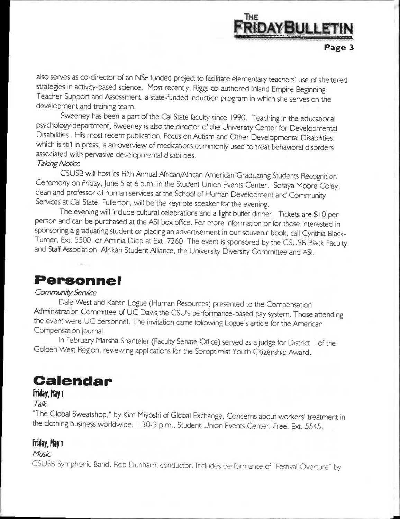

also serves as co-director of an *NSF* funded project to facilitate elementary teachers' use of sheltered strategies in activity-based science. Most recently, Riggs co-authored Inland Empire Beginning Teacher Support and Assessment, a state-funded induction program in which she serves on the development and training team.

Sweeney has been a part of the Cal State faculty since 1990. Teaching in the educational psychology department, Sweeney is also the director of the University Center for Developmental Disabilities. His most recent publication, Focus on Autism and Other Developmental Disabilities, which is still in press, is an overview of medications commonly used to treat behavioral disorders associated with pervasive developmental disabilities.

### *Taking Notice*

CSUSB will host its Fifth Annual African/African American Graduating Students Recognition Ceremony on Friday, June 5 at 6 p.m. in the Student Union Events Center. Soraya Moore Coley, dean and professor of human services at the School of Human Development and Community Services at Cal State, Fullerton, will be the keynote speaker for the evening.

The evening will include cultural celebrations and a light buffet dinner. Tickets are \$ 10 per person and can be purchased at the ASI box office. For more information or for those interested in sponsoring a graduating student or placing an advertisement in our souvenir book, call Cynthia Black-Turner, Ext. 5500, or Aminia Diop at Ext, 7260. The event is sponsored by the CSUSB Black Faculty and Staff Association, Afrikan Student AJIiance, the University Diversity Committee and ASI.

# **Personnel**

#### *Community Service*

Dale West and Karen Logue (Human Resources) presented to the Compensation Administration Committee of UC Davis, the CSU's performance-based pay system. Those attending the event were UC personnel. The invitation came following Logue's article for the American Compensation journal.

In February Marsha Shanteler (Faculty Senate Office) served as a judge for District I of the Golden West Region, reviewing applications for the Soroptimist Youth Citizenship Award.

# **Calendar**

### Friday, May 1

#### *Talk.*

The Global Sweatshop," by Kim Miyoshi of Global Exchange. Concerns about workers' treatment in the clothing business worldwide. 1:30-3 p.m.. Student Union Events Center. Free. Ext. 5545.

### **Friday, May 1**

#### *Music.*

CSUSB Symphonic Band, Rob Dunham, conductor. Includes performance of "Festival Overture" by